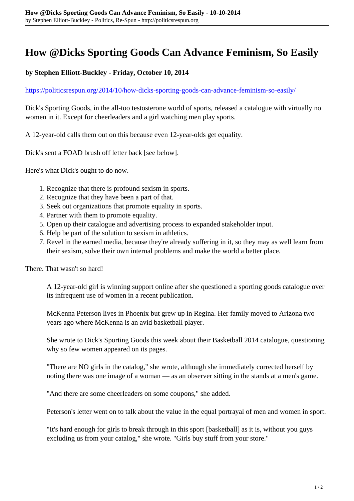## **How @Dicks Sporting Goods Can Advance Feminism, So Easily**

## **by Stephen Elliott-Buckley - Friday, October 10, 2014**

## <https://politicsrespun.org/2014/10/how-dicks-sporting-goods-can-advance-feminism-so-easily/>

Dick's Sporting Goods, in the all-too testosterone world of sports, released a catalogue with virtually no women in it. Except for cheerleaders and a girl watching men play sports.

A 12-year-old calls them out on this because even 12-year-olds get equality.

Dick's sent a FOAD brush off letter back [see below].

Here's what Dick's ought to do now.

- 1. Recognize that there is profound sexism in sports.
- 2. Recognize that they have been a part of that.
- 3. Seek out organizations that promote equality in sports.
- 4. Partner with them to promote equality.
- 5. Open up their catalogue and advertising process to expanded stakeholder input.
- 6. Help be part of the solution to sexism in athletics.
- 7. Revel in the earned media, because they're already suffering in it, so they may as well learn from their sexism, solve their own internal problems and make the world a better place.

There. That wasn't so hard!

A 12-year-old girl is winning support online after she questioned a sporting goods catalogue over its infrequent use of women in a recent publication.

McKenna Peterson lives in Phoenix but grew up in Regina. Her family moved to Arizona two years ago where McKenna is an avid basketball player.

She wrote to Dick's Sporting Goods this week about their Basketball 2014 catalogue, questioning why so few women appeared on its pages.

"There are NO girls in the catalog," she wrote, although she immediately corrected herself by noting there was one image of a woman — as an observer sitting in the stands at a men's game.

"And there are some cheerleaders on some coupons," she added.

Peterson's letter went on to talk about the value in the equal portrayal of men and women in sport.

"It's hard enough for girls to break through in this sport [basketball] as it is, without you guys excluding us from your catalog," she wrote. "Girls buy stuff from your store."